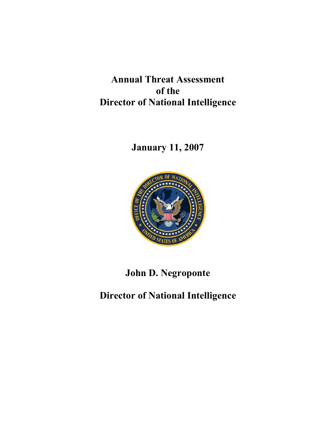**Annual Threat Assessment of the Director of National Intelligence** 

**January 11, 2007** 



# **John D. Negroponte**

**Director of National Intelligence**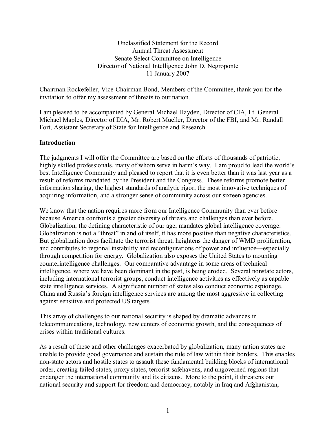Chairman Rockefeller, Vice-Chairman Bond, Members of the Committee, thank you for the invitation to offer my assessment of threats to our nation.

I am pleased to be accompanied by General Michael Hayden, Director of CIA, Lt. General Michael Maples, Director of DIA, Mr. Robert Mueller, Director of the FBI, and Mr. Randall Fort, Assistant Secretary of State for Intelligence and Research.

## **Introduction**

The judgments I will offer the Committee are based on the efforts of thousands of patriotic, highly skilled professionals, many of whom serve in harm's way. I am proud to lead the world's best Intelligence Community and pleased to report that it is even better than it was last year as a result of reforms mandated by the President and the Congress. These reforms promote better information sharing, the highest standards of analytic rigor, the most innovative techniques of acquiring information, and a stronger sense of community across our sixteen agencies.

We know that the nation requires more from our Intelligence Community than ever before because America confronts a greater diversity of threats and challenges than ever before. Globalization, the defining characteristic of our age, mandates global intelligence coverage. Globalization is not a "threat" in and of itself; it has more positive than negative characteristics. But globalization does facilitate the terrorist threat, heightens the danger of WMD proliferation, and contributes to regional instability and reconfigurations of power and influence—especially through competition for energy. Globalization also exposes the United States to mounting counterintelligence challenges. Our comparative advantage in some areas of technical intelligence, where we have been dominant in the past, is being eroded. Several nonstate actors, including international terrorist groups, conduct intelligence activities as effectively as capable state intelligence services. A significant number of states also conduct economic espionage. China and Russia's foreign intelligence services are among the most aggressive in collecting against sensitive and protected US targets.

This array of challenges to our national security is shaped by dramatic advances in telecommunications, technology, new centers of economic growth, and the consequences of crises within traditional cultures.

As a result of these and other challenges exacerbated by globalization, many nation states are unable to provide good governance and sustain the rule of law within their borders. This enables non-state actors and hostile states to assault these fundamental building blocks of international order, creating failed states, proxy states, terrorist safehavens, and ungoverned regions that endanger the international community and its citizens. More to the point, it threatens our national security and support for freedom and democracy, notably in Iraq and Afghanistan,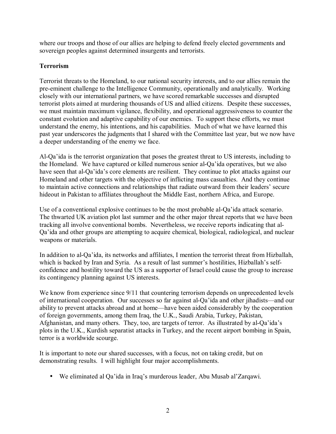where our troops and those of our allies are helping to defend freely elected governments and sovereign peoples against determined insurgents and terrorists.

# **Terrorism**

Terrorist threats to the Homeland, to our national security interests, and to our allies remain the pre-eminent challenge to the Intelligence Community, operationally and analytically. Working closely with our international partners, we have scored remarkable successes and disrupted terrorist plots aimed at murdering thousands of US and allied citizens. Despite these successes, we must maintain maximum vigilance, flexibility, and operational aggressiveness to counter the constant evolution and adaptive capability of our enemies. To support these efforts, we must understand the enemy, his intentions, and his capabilities. Much of what we have learned this past year underscores the judgments that I shared with the Committee last year, but we now have a deeper understanding of the enemy we face.

Al-Qa'ida is the terrorist organization that poses the greatest threat to US interests, including to the Homeland. We have captured or killed numerous senior al-Qa'ida operatives, but we also have seen that al-Qa'ida's core elements are resilient. They continue to plot attacks against our Homeland and other targets with the objective of inflicting mass casualties. And they continue to maintain active connections and relationships that radiate outward from their leaders' secure hideout in Pakistan to affiliates throughout the Middle East, northern Africa, and Europe.

Use of a conventional explosive continues to be the most probable al-Qa'ida attack scenario. The thwarted UK aviation plot last summer and the other major threat reports that we have been tracking all involve conventional bombs. Nevertheless, we receive reports indicating that al-Qaíida and other groups are attempting to acquire chemical, biological, radiological, and nuclear weapons or materials.

In addition to al-Qa'ida, its networks and affiliates, I mention the terrorist threat from Hizballah, which is backed by Iran and Syria. As a result of last summer's hostilities, Hizballah's selfconfidence and hostility toward the US as a supporter of Israel could cause the group to increase its contingency planning against US interests.

We know from experience since  $9/11$  that countering terrorism depends on unprecedented levels of international cooperation. Our successes so far against al-Qa'ida and other jihadists—and our ability to prevent attacks abroad and at home—have been aided considerably by the cooperation of foreign governments, among them Iraq, the U.K., Saudi Arabia, Turkey, Pakistan, Afghanistan, and many others. They, too, are targets of terror. As illustrated by al-Qa'ida's plots in the U.K., Kurdish separatist attacks in Turkey, and the recent airport bombing in Spain, terror is a worldwide scourge.

It is important to note our shared successes, with a focus, not on taking credit, but on demonstrating results. I will highlight four major accomplishments.

• We eliminated al Qa'ida in Iraq's murderous leader, Abu Musab al'Zarqawi.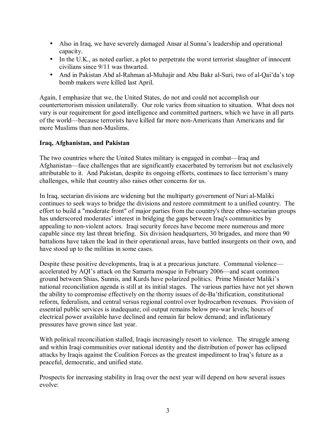- Also in Iraq, we have severely damaged Ansar al Sunna's leadership and operational capacity.
- In the U.K., as noted earlier, a plot to perpetrate the worst terrorist slaughter of innocent civilians since 9/11 was thwarted.
- And in Pakistan Abd al-Rahman al-Muhajir and Abu Bakr al-Suri, two of al-Qai'da's top bomb makers were killed last April.

Again, I emphasize that we, the United States, do not and could not accomplish our counterterrorism mission unilaterally. Our role varies from situation to situation. What does not vary is our requirement for good intelligence and committed partners, which we have in all parts of the world—because terrorists have killed far more non-Americans than Americans and far more Muslims than non-Muslims.

## **Iraq, Afghanistan, and Pakistan**

The two countries where the United States military is engaged in combat—Iraq and Afghanistan—face challenges that are significantly exacerbated by terrorism but not exclusively attributable to it. And Pakistan, despite its ongoing efforts, continues to face terrorism's many challenges, while that country also raises other concerns for us.

In Iraq, sectarian divisions are widening but the multiparty government of Nuri al-Maliki continues to seek ways to bridge the divisions and restore commitment to a unified country. The effort to build a "moderate front" of major parties from the country's three ethno-sectarian groups has underscored moderates' interest in bridging the gaps between Iraq's communities by appealing to non-violent actors. Iraqi security forces have become more numerous and more capable since my last threat briefing. Six division headquarters, 30 brigades, and more than 90 battalions have taken the lead in their operational areas, have battled insurgents on their own, and have stood up to the militias in some cases.

Despite these positive developments, Iraq is at a precarious juncture. Communal violence accelerated by AQI's attack on the Samarra mosque in February 2006—and scant common ground between Shias, Sunnis, and Kurds have polarized politics. Prime Minister Maliki's national reconciliation agenda is still at its initial stages. The various parties have not yet shown the ability to compromise effectively on the thorny issues of de-Ba'thification, constitutional reform, federalism, and central versus regional control over hydrocarbon revenues. Provision of essential public services is inadequate; oil output remains below pre-war levels; hours of electrical power available have declined and remain far below demand; and inflationary pressures have grown since last year.

With political reconciliation stalled, Iraqis increasingly resort to violence. The struggle among and within Iraqi communities over national identity and the distribution of power has eclipsed attacks by Iraqis against the Coalition Forces as the greatest impediment to Iraq's future as a peaceful, democratic, and unified state.

Prospects for increasing stability in Iraq over the next year will depend on how several issues evolve: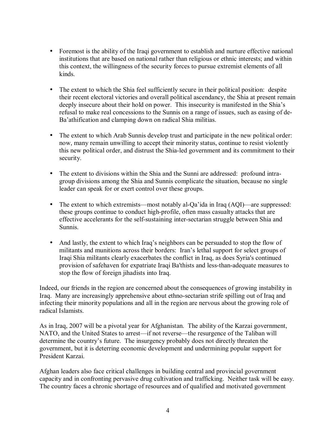- Foremost is the ability of the Iraqi government to establish and nurture effective national institutions that are based on national rather than religious or ethnic interests; and within this context, the willingness of the security forces to pursue extremist elements of all kinds.
- The extent to which the Shia feel sufficiently secure in their political position: despite their recent electoral victories and overall political ascendancy, the Shia at present remain deeply insecure about their hold on power. This insecurity is manifested in the Shia's refusal to make real concessions to the Sunnis on a range of issues, such as easing of de-Ba'athification and clamping down on radical Shia militias.
- The extent to which Arab Sunnis develop trust and participate in the new political order: now, many remain unwilling to accept their minority status, continue to resist violently this new political order, and distrust the Shia-led government and its commitment to their security.
- The extent to divisions within the Shia and the Sunni are addressed: profound intragroup divisions among the Shia and Sunnis complicate the situation, because no single leader can speak for or exert control over these groups.
- The extent to which extremists—most notably al-Qa'ida in Iraq  $(AQI)$ —are suppressed: these groups continue to conduct high-profile, often mass casualty attacks that are effective accelerants for the self-sustaining inter-sectarian struggle between Shia and Sunnis.
- And lastly, the extent to which Iraq's neighbors can be persuaded to stop the flow of militants and munitions across their borders: Iran's lethal support for select groups of Iraqi Shia militants clearly exacerbates the conflict in Iraq, as does Syria's continued provision of safehaven for expatriate Iraqi Ba'thists and less-than-adequate measures to stop the flow of foreign jihadists into Iraq.

Indeed, our friends in the region are concerned about the consequences of growing instability in Iraq. Many are increasingly apprehensive about ethno-sectarian strife spilling out of Iraq and infecting their minority populations and all in the region are nervous about the growing role of radical Islamists.

As in Iraq, 2007 will be a pivotal year for Afghanistan. The ability of the Karzai government, NATO, and the United States to arrest—if not reverse—the resurgence of the Taliban will determine the country's future. The insurgency probably does not directly threaten the government, but it is deterring economic development and undermining popular support for President Karzai.

Afghan leaders also face critical challenges in building central and provincial government capacity and in confronting pervasive drug cultivation and trafficking. Neither task will be easy. The country faces a chronic shortage of resources and of qualified and motivated government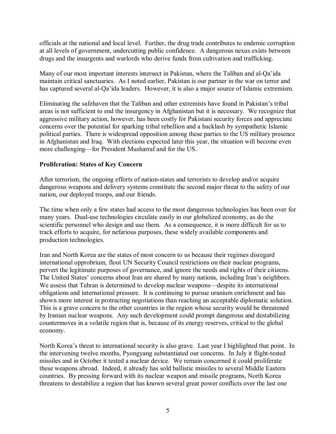officials at the national and local level. Further, the drug trade contributes to endemic corruption at all levels of government, undercutting public confidence. A dangerous nexus exists between drugs and the insurgents and warlords who derive funds from cultivation and trafficking.

Many of our most important interests intersect in Pakistan, where the Taliban and al-Qa'ida maintain critical sanctuaries. As I noted earlier, Pakistan is our partner in the war on terror and has captured several al-Qa'ida leaders. However, it is also a major source of Islamic extremism.

Eliminating the safehaven that the Taliban and other extremists have found in Pakistan's tribal areas is not sufficient to end the insurgency in Afghanistan but it is necessary. We recognize that aggressive military action, however, has been costly for Pakistani security forces and appreciate concerns over the potential for sparking tribal rebellion and a backlash by sympathetic Islamic political parties. There is widespread opposition among these parties to the US military presence in Afghanistan and Iraq. With elections expected later this year, the situation will become even more challenging—for President Musharraf and for the US.

## **Proliferation: States of Key Concern**

After terrorism, the ongoing efforts of nation-states and terrorists to develop and/or acquire dangerous weapons and delivery systems constitute the second major threat to the safety of our nation, our deployed troops, and our friends.

The time when only a few states had access to the most dangerous technologies has been over for many years. Dual-use technologies circulate easily in our globalized economy, as do the scientific personnel who design and use them. As a consequence, it is more difficult for us to track efforts to acquire, for nefarious purposes, these widely available components and production technologies.

Iran and North Korea are the states of most concern to us because their regimes disregard international opprobrium, flout UN Security Council restrictions on their nuclear programs, pervert the legitimate purposes of governance, and ignore the needs and rights of their citizens. The United States' concerns about Iran are shared by many nations, including Iran's neighbors. We assess that Tehran is determined to develop nuclear weapons—despite its international obligations and international pressure. It is continuing to pursue uranium enrichment and has shown more interest in protracting negotiations than reaching an acceptable diplomatic solution. This is a grave concern to the other countries in the region whose security would be threatened by Iranian nuclear weapons. Any such development could prompt dangerous and destabilizing countermoves in a volatile region that is, because of its energy reserves, critical to the global economy.

North Korea's threat to international security is also grave. Last year I highlighted that point. In the intervening twelve months, Pyongyang substantiated our concerns. In July it flight-tested missiles and in October it tested a nuclear device. We remain concerned it could proliferate these weapons abroad. Indeed, it already has sold ballistic missiles to several Middle Eastern countries. By pressing forward with its nuclear weapon and missile programs, North Korea threatens to destabilize a region that has known several great power conflicts over the last one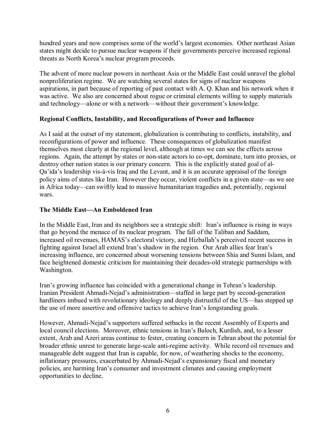hundred years and now comprises some of the world's largest economies. Other northeast Asian states might decide to pursue nuclear weapons if their governments perceive increased regional threats as North Korea's nuclear program proceeds.

The advent of more nuclear powers in northeast Asia or the Middle East could unravel the global nonproliferation regime. We are watching several states for signs of nuclear weapons aspirations, in part because of reporting of past contact with A. Q. Khan and his network when it was active. We also are concerned about rogue or criminal elements willing to supply materials and technology—alone or with a network—without their government's knowledge.

## **Regional Conflicts, Instability, and Reconfigurations of Power and Influence**

As I said at the outset of my statement, globalization is contributing to conflicts, instability, and reconfigurations of power and influence. These consequences of globalization manifest themselves most clearly at the regional level, although at times we can see the effects across regions. Again, the attempt by states or non-state actors to co-opt, dominate, turn into proxies, or destroy other nation states is our primary concern. This is the explicitly stated goal of al-Qa'ida's leadership vis-à-vis Iraq and the Levant, and it is an accurate appraisal of the foreign policy aims of states like Iran. However they occur, violent conflicts in a given state—as we see in Africa today—can swiftly lead to massive humanitarian tragedies and, potentially, regional wars.

## **The Middle East—An Emboldened Iran**

In the Middle East, Iran and its neighbors see a strategic shift: Iran's influence is rising in ways that go beyond the menace of its nuclear program. The fall of the Taliban and Saddam, increased oil revenues, HAMAS's electoral victory, and Hizballah's perceived recent success in fighting against Israel all extend Iran's shadow in the region. Our Arab allies fear Iran's increasing influence, are concerned about worsening tensions between Shia and Sunni Islam, and face heightened domestic criticism for maintaining their decades-old strategic partnerships with Washington.

Iran's growing influence has coincided with a generational change in Tehran's leadership. Iranian President Ahmadi-Nejad's administration—staffed in large part by second-generation hardliners imbued with revolutionary ideology and deeply distrustful of the US—has stepped up the use of more assertive and offensive tactics to achieve Iran's longstanding goals.

However, Ahmadi-Nejad's supporters suffered setbacks in the recent Assembly of Experts and local council elections. Moreover, ethnic tensions in Iran's Baloch, Kurdish, and, to a lesser extent, Arab and Azeri areas continue to fester, creating concern in Tehran about the potential for broader ethnic unrest to generate large-scale anti-regime activity. While record oil revenues and manageable debt suggest that Iran is capable, for now, of weathering shocks to the economy, inflationary pressures, exacerbated by Ahmadi-Nejad's expansionary fiscal and monetary policies, are harming Iran's consumer and investment climates and causing employment opportunities to decline.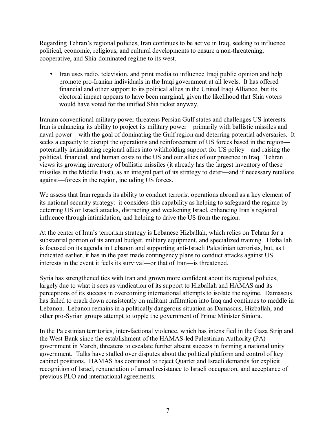Regarding Tehranís regional policies, Iran continues to be active in Iraq, seeking to influence political, economic, religious, and cultural developments to ensure a non-threatening, cooperative, and Shia-dominated regime to its west.

• Iran uses radio, television, and print media to influence Iraqi public opinion and help promote pro-Iranian individuals in the Iraqi government at all levels. It has offered financial and other support to its political allies in the United Iraqi Alliance, but its electoral impact appears to have been marginal, given the likelihood that Shia voters would have voted for the unified Shia ticket anyway.

Iranian conventional military power threatens Persian Gulf states and challenges US interests. Iran is enhancing its ability to project its military power—primarily with ballistic missiles and naval power—with the goal of dominating the Gulf region and deterring potential adversaries. It seeks a capacity to disrupt the operations and reinforcement of US forces based in the region potentially intimidating regional allies into withholding support for US policy—and raising the political, financial, and human costs to the US and our allies of our presence in Iraq. Tehran views its growing inventory of ballistic missiles (it already has the largest inventory of these missiles in the Middle East), as an integral part of its strategy to deter—and if necessary retaliate against—forces in the region, including US forces.

We assess that Iran regards its ability to conduct terrorist operations abroad as a key element of its national security strategy: it considers this capability as helping to safeguard the regime by deterring US or Israeli attacks, distracting and weakening Israel, enhancing Iran's regional influence through intimidation, and helping to drive the US from the region.

At the center of Iran's terrorism strategy is Lebanese Hizballah, which relies on Tehran for a substantial portion of its annual budget, military equipment, and specialized training. Hizballah is focused on its agenda in Lebanon and supporting anti-Israeli Palestinian terrorists, but, as I indicated earlier, it has in the past made contingency plans to conduct attacks against US interests in the event it feels its survival—or that of Iran—is threatened.

Syria has strengthened ties with Iran and grown more confident about its regional policies, largely due to what it sees as vindication of its support to Hizballah and HAMAS and its perceptions of its success in overcoming international attempts to isolate the regime. Damascus has failed to crack down consistently on militant infiltration into Iraq and continues to meddle in Lebanon. Lebanon remains in a politically dangerous situation as Damascus, Hizballah, and other pro-Syrian groups attempt to topple the government of Prime Minister Siniora.

In the Palestinian territories, inter-factional violence, which has intensified in the Gaza Strip and the West Bank since the establishment of the HAMAS-led Palestinian Authority (PA) government in March, threatens to escalate further absent success in forming a national unity government. Talks have stalled over disputes about the political platform and control of key cabinet positions. HAMAS has continued to reject Quartet and Israeli demands for explicit recognition of Israel, renunciation of armed resistance to Israeli occupation, and acceptance of previous PLO and international agreements.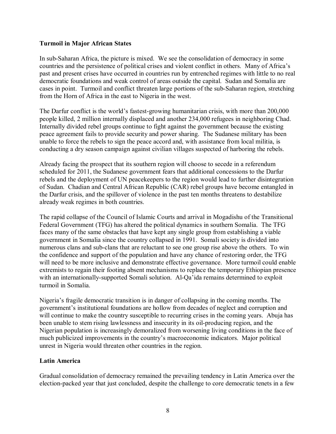#### **Turmoil in Major African States**

In sub-Saharan Africa, the picture is mixed. We see the consolidation of democracy in some countries and the persistence of political crises and violent conflict in others. Many of Africa's past and present crises have occurred in countries run by entrenched regimes with little to no real democratic foundations and weak control of areas outside the capital. Sudan and Somalia are cases in point. Turmoil and conflict threaten large portions of the sub-Saharan region, stretching from the Horn of Africa in the east to Nigeria in the west.

The Darfur conflict is the world's fastest-growing humanitarian crisis, with more than 200,000 people killed, 2 million internally displaced and another 234,000 refugees in neighboring Chad. Internally divided rebel groups continue to fight against the government because the existing peace agreement fails to provide security and power sharing. The Sudanese military has been unable to force the rebels to sign the peace accord and, with assistance from local militia, is conducting a dry season campaign against civilian villages suspected of harboring the rebels.

Already facing the prospect that its southern region will choose to secede in a referendum scheduled for 2011, the Sudanese government fears that additional concessions to the Darfur rebels and the deployment of UN peacekeepers to the region would lead to further disintegration of Sudan. Chadian and Central African Republic (CAR) rebel groups have become entangled in the Darfur crisis, and the spillover of violence in the past ten months threatens to destabilize already weak regimes in both countries.

The rapid collapse of the Council of Islamic Courts and arrival in Mogadishu of the Transitional Federal Government (TFG) has altered the political dynamics in southern Somalia. The TFG faces many of the same obstacles that have kept any single group from establishing a viable government in Somalia since the country collapsed in 1991. Somali society is divided into numerous clans and sub-clans that are reluctant to see one group rise above the others. To win the confidence and support of the population and have any chance of restoring order, the TFG will need to be more inclusive and demonstrate effective governance. More turmoil could enable extremists to regain their footing absent mechanisms to replace the temporary Ethiopian presence with an internationally-supported Somali solution. Al-Qa'ida remains determined to exploit turmoil in Somalia.

Nigeriaís fragile democratic transition is in danger of collapsing in the coming months. The government's institutional foundations are hollow from decades of neglect and corruption and will continue to make the country susceptible to recurring crises in the coming years. Abuja has been unable to stem rising lawlessness and insecurity in its oil-producing region, and the Nigerian population is increasingly demoralized from worsening living conditions in the face of much publicized improvements in the country's macroeconomic indicators. Major political unrest in Nigeria would threaten other countries in the region.

## **Latin America**

Gradual consolidation of democracy remained the prevailing tendency in Latin America over the election-packed year that just concluded, despite the challenge to core democratic tenets in a few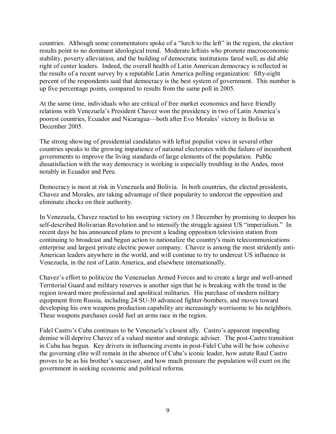countries. Although some commentators spoke of a "lurch to the left" in the region, the election results point to no dominant ideological trend. Moderate leftists who promote macroeconomic stability, poverty alleviation, and the building of democratic institutions fared well, as did able right of center leaders. Indeed, the overall health of Latin American democracy is reflected in the results of a recent survey by a reputable Latin America polling organization: fifty-eight percent of the respondents said that democracy is the best system of government. This number is up five percentage points, compared to results from the same poll in 2005.

At the same time, individuals who are critical of free market economics and have friendly relations with Venezuela's President Chavez won the presidency in two of Latin America's poorest countries, Ecuador and Nicaragua—both after Evo Morales' victory in Bolivia in December 2005.

The strong showing of presidential candidates with leftist populist views in several other countries speaks to the growing impatience of national electorates with the failure of incumbent governments to improve the living standards of large elements of the population. Public dissatisfaction with the way democracy is working is especially troubling in the Andes, most notably in Ecuador and Peru.

Democracy is most at risk in Venezuela and Bolivia. In both countries, the elected presidents, Chavez and Morales, are taking advantage of their popularity to undercut the opposition and eliminate checks on their authority.

In Venezuela, Chavez reacted to his sweeping victory on 3 December by promising to deepen his self-described Bolivarian Revolution and to intensify the struggle against US "imperialism." In recent days he has announced plans to prevent a leading opposition television station from continuing to broadcast and begun action to nationalize the country's main telecommunications enterprise and largest private electric power company. Chavez is among the most stridently anti-American leaders anywhere in the world, and will continue to try to undercut US influence in Venezuela, in the rest of Latin America, and elsewhere internationally.

Chavez's effort to politicize the Venezuelan Armed Forces and to create a large and well-armed Territorial Guard and military reserves is another sign that he is breaking with the trend in the region toward more professional and apolitical militaries. His purchase of modern military equipment from Russia, including 24 SU-30 advanced fighter-bombers, and moves toward developing his own weapons production capability are increasingly worrisome to his neighbors. These weapons purchases could fuel an arms race in the region.

Fidel Castro's Cuba continues to be Venezuela's closest ally. Castro's apparent impending demise will deprive Chavez of a valued mentor and strategic adviser. The post-Castro transition in Cuba has begun. Key drivers in influencing events in post-Fidel Cuba will be how cohesive the governing elite will remain in the absence of Cuba's iconic leader, how astute Raul Castro proves to be as his brotherís successor, and how much pressure the population will exert on the government in seeking economic and political reforms.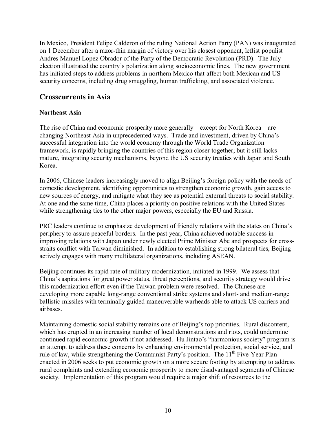In Mexico, President Felipe Calderon of the ruling National Action Party (PAN) was inaugurated on 1 December after a razor-thin margin of victory over his closest opponent, leftist populist Andres Manuel Lopez Obrador of the Party of the Democratic Revolution (PRD). The July election illustrated the country's polarization along socioeconomic lines. The new government has initiated steps to address problems in northern Mexico that affect both Mexican and US security concerns, including drug smuggling, human trafficking, and associated violence.

# **Crosscurrents in Asia**

## **Northeast Asia**

The rise of China and economic prosperity more generally—except for North Korea—are changing Northeast Asia in unprecedented ways. Trade and investment, driven by China's successful integration into the world economy through the World Trade Organization framework, is rapidly bringing the countries of this region closer together; but it still lacks mature, integrating security mechanisms, beyond the US security treaties with Japan and South Korea.

In 2006, Chinese leaders increasingly moved to align Beijing's foreign policy with the needs of domestic development, identifying opportunities to strengthen economic growth, gain access to new sources of energy, and mitigate what they see as potential external threats to social stability. At one and the same time, China places a priority on positive relations with the United States while strengthening ties to the other major powers, especially the EU and Russia.

PRC leaders continue to emphasize development of friendly relations with the states on China's periphery to assure peaceful borders. In the past year, China achieved notable success in improving relations with Japan under newly elected Prime Minister Abe and prospects for crossstraits conflict with Taiwan diminished. In addition to establishing strong bilateral ties, Beijing actively engages with many multilateral organizations, including ASEAN.

Beijing continues its rapid rate of military modernization, initiated in 1999. We assess that Chinaís aspirations for great power status, threat perceptions, and security strategy would drive this modernization effort even if the Taiwan problem were resolved. The Chinese are developing more capable long-range conventional strike systems and short- and medium-range ballistic missiles with terminally guided maneuverable warheads able to attack US carriers and airbases.

Maintaining domestic social stability remains one of Beijing's top priorities. Rural discontent, which has erupted in an increasing number of local demonstrations and riots, could undermine continued rapid economic growth if not addressed. Hu Jintao's "harmonious society" program is an attempt to address these concerns by enhancing environmental protection, social service, and rule of law, while strengthening the Communist Party's position. The 11<sup>th</sup> Five-Year Plan enacted in 2006 seeks to put economic growth on a more secure footing by attempting to address rural complaints and extending economic prosperity to more disadvantaged segments of Chinese society. Implementation of this program would require a major shift of resources to the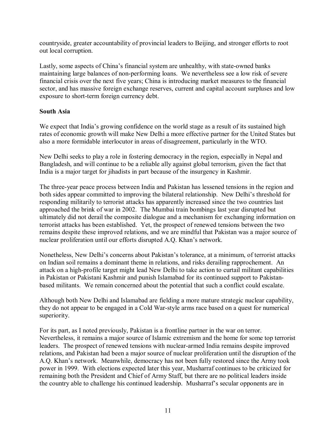countryside, greater accountability of provincial leaders to Beijing, and stronger efforts to root out local corruption.

Lastly, some aspects of China's financial system are unhealthy, with state-owned banks maintaining large balances of non-performing loans. We nevertheless see a low risk of severe financial crisis over the next five years; China is introducing market measures to the financial sector, and has massive foreign exchange reserves, current and capital account surpluses and low exposure to short-term foreign currency debt.

## **South Asia**

We expect that India's growing confidence on the world stage as a result of its sustained high rates of economic growth will make New Delhi a more effective partner for the United States but also a more formidable interlocutor in areas of disagreement, particularly in the WTO.

New Delhi seeks to play a role in fostering democracy in the region, especially in Nepal and Bangladesh, and will continue to be a reliable ally against global terrorism, given the fact that India is a major target for jihadists in part because of the insurgency in Kashmir.

The three-year peace process between India and Pakistan has lessened tensions in the region and both sides appear committed to improving the bilateral relationship. New Delhi's threshold for responding militarily to terrorist attacks has apparently increased since the two countries last approached the brink of war in 2002. The Mumbai train bombings last year disrupted but ultimately did not derail the composite dialogue and a mechanism for exchanging information on terrorist attacks has been established. Yet, the prospect of renewed tensions between the two remains despite these improved relations, and we are mindful that Pakistan was a major source of nuclear proliferation until our efforts disrupted A.Q. Khan's network.

Nonetheless, New Delhi's concerns about Pakistan's tolerance, at a minimum, of terrorist attacks on Indian soil remains a dominant theme in relations, and risks derailing rapprochement. An attack on a high-profile target might lead New Delhi to take action to curtail militant capabilities in Pakistan or Pakistani Kashmir and punish Islamabad for its continued support to Pakistanbased militants. We remain concerned about the potential that such a conflict could escalate.

Although both New Delhi and Islamabad are fielding a more mature strategic nuclear capability, they do not appear to be engaged in a Cold War-style arms race based on a quest for numerical superiority.

For its part, as I noted previously, Pakistan is a frontline partner in the war on terror. Nevertheless, it remains a major source of Islamic extremism and the home for some top terrorist leaders. The prospect of renewed tensions with nuclear-armed India remains despite improved relations, and Pakistan had been a major source of nuclear proliferation until the disruption of the A.Q. Khanís network. Meanwhile, democracy has not been fully restored since the Army took power in 1999. With elections expected later this year, Musharraf continues to be criticized for remaining both the President and Chief of Army Staff, but there are no political leaders inside the country able to challenge his continued leadership. Musharraf's secular opponents are in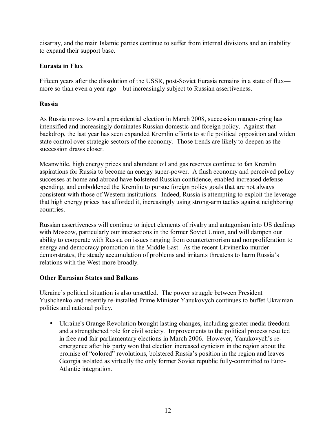disarray, and the main Islamic parties continue to suffer from internal divisions and an inability to expand their support base.

# **Eurasia in Flux**

Fifteen years after the dissolution of the USSR, post-Soviet Eurasia remains in a state of flux more so than even a year ago—but increasingly subject to Russian assertiveness.

## **Russia**

As Russia moves toward a presidential election in March 2008, succession maneuvering has intensified and increasingly dominates Russian domestic and foreign policy. Against that backdrop, the last year has seen expanded Kremlin efforts to stifle political opposition and widen state control over strategic sectors of the economy. Those trends are likely to deepen as the succession draws closer.

Meanwhile, high energy prices and abundant oil and gas reserves continue to fan Kremlin aspirations for Russia to become an energy super-power. A flush economy and perceived policy successes at home and abroad have bolstered Russian confidence, enabled increased defense spending, and emboldened the Kremlin to pursue foreign policy goals that are not always consistent with those of Western institutions. Indeed, Russia is attempting to exploit the leverage that high energy prices has afforded it, increasingly using strong-arm tactics against neighboring countries.

Russian assertiveness will continue to inject elements of rivalry and antagonism into US dealings with Moscow, particularly our interactions in the former Soviet Union, and will dampen our ability to cooperate with Russia on issues ranging from counterterrorism and nonproliferation to energy and democracy promotion in the Middle East. As the recent Litvinenko murder demonstrates, the steady accumulation of problems and irritants threatens to harm Russia's relations with the West more broadly.

## **Other Eurasian States and Balkans**

Ukraine's political situation is also unsettled. The power struggle between President Yushchenko and recently re-installed Prime Minister Yanukovych continues to buffet Ukrainian politics and national policy.

• Ukraine's Orange Revolution brought lasting changes, including greater media freedom and a strengthened role for civil society. Improvements to the political process resulted in free and fair parliamentary elections in March 2006. However, Yanukovych's reemergence after his party won that election increased cynicism in the region about the promise of "colored" revolutions, bolstered Russia's position in the region and leaves Georgia isolated as virtually the only former Soviet republic fully-committed to Euro-Atlantic integration.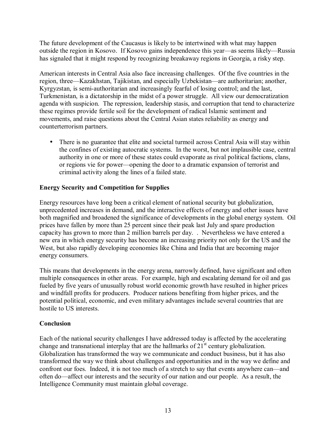The future development of the Caucasus is likely to be intertwined with what may happen outside the region in Kosovo. If Kosovo gains independence this year—as seems likely—Russia has signaled that it might respond by recognizing breakaway regions in Georgia, a risky step.

American interests in Central Asia also face increasing challenges. Of the five countries in the region, three—Kazakhstan, Tajikistan, and especially Uzbekistan—are authoritarian; another, Kyrgyzstan, is semi-authoritarian and increasingly fearful of losing control; and the last, Turkmenistan, is a dictatorship in the midst of a power struggle. All view our democratization agenda with suspicion. The repression, leadership stasis, and corruption that tend to characterize these regimes provide fertile soil for the development of radical Islamic sentiment and movements, and raise questions about the Central Asian states reliability as energy and counterterrorism partners.

• There is no guarantee that elite and societal turmoil across Central Asia will stay within the confines of existing autocratic systems. In the worst, but not implausible case, central authority in one or more of these states could evaporate as rival political factions, clans, or regions vie for power—opening the door to a dramatic expansion of terrorist and criminal activity along the lines of a failed state.

# **Energy Security and Competition for Supplies**

Energy resources have long been a critical element of national security but globalization, unprecedented increases in demand, and the interactive effects of energy and other issues have both magnified and broadened the significance of developments in the global energy system. Oil prices have fallen by more than 25 percent since their peak last July and spare production capacity has grown to more than 2 million barrels per day. . Nevertheless we have entered a new era in which energy security has become an increasing priority not only for the US and the West, but also rapidly developing economies like China and India that are becoming major energy consumers.

This means that developments in the energy arena, narrowly defined, have significant and often multiple consequences in other areas. For example, high and escalating demand for oil and gas fueled by five years of unusually robust world economic growth have resulted in higher prices and windfall profits for producers. Producer nations benefiting from higher prices, and the potential political, economic, and even military advantages include several countries that are hostile to US interests.

# **Conclusion**

Each of the national security challenges I have addressed today is affected by the accelerating change and transnational interplay that are the hallmarks of  $21<sup>st</sup>$  century globalization. Globalization has transformed the way we communicate and conduct business, but it has also transformed the way we think about challenges and opportunities and in the way we define and confront our foes. Indeed, it is not too much of a stretch to say that events anywhere can—and often do—affect our interests and the security of our nation and our people. As a result, the Intelligence Community must maintain global coverage.